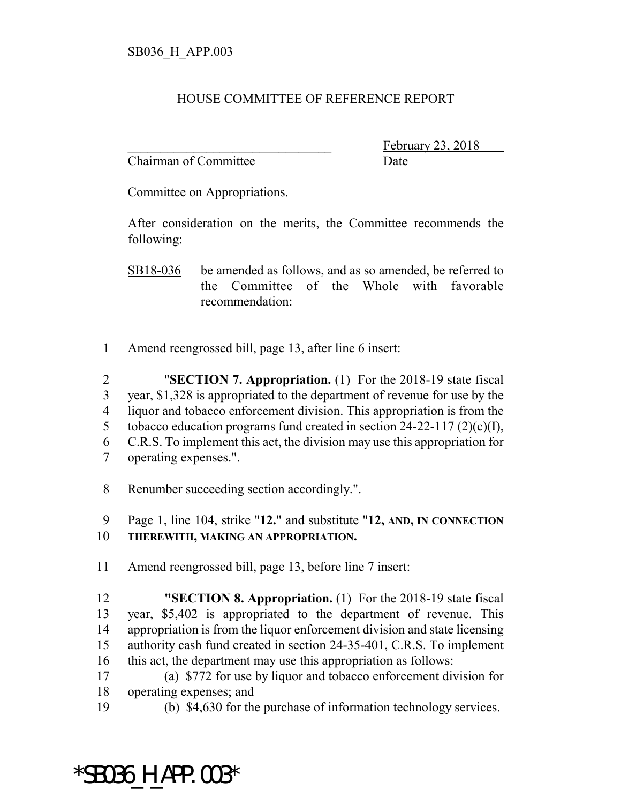## HOUSE COMMITTEE OF REFERENCE REPORT

Chairman of Committee **Date** 

February 23, 2018

Committee on Appropriations.

After consideration on the merits, the Committee recommends the following:

SB18-036 be amended as follows, and as so amended, be referred to the Committee of the Whole with favorable recommendation:

1 Amend reengrossed bill, page 13, after line 6 insert:

 "**SECTION 7. Appropriation.** (1) For the 2018-19 state fiscal year, \$1,328 is appropriated to the department of revenue for use by the liquor and tobacco enforcement division. This appropriation is from the 5 tobacco education programs fund created in section  $24-22-117$  (2)(c)(I), C.R.S. To implement this act, the division may use this appropriation for operating expenses.".

- 8 Renumber succeeding section accordingly.".
- 9 Page 1, line 104, strike "**12.**" and substitute "**12, AND, IN CONNECTION**
- 10 **THEREWITH, MAKING AN APPROPRIATION.**
- 11 Amend reengrossed bill, page 13, before line 7 insert:

 **"SECTION 8. Appropriation.** (1) For the 2018-19 state fiscal year, \$5,402 is appropriated to the department of revenue. This appropriation is from the liquor enforcement division and state licensing authority cash fund created in section 24-35-401, C.R.S. To implement this act, the department may use this appropriation as follows:

- 17 (a) \$772 for use by liquor and tobacco enforcement division for 18 operating expenses; and
- 19 (b) \$4,630 for the purchase of information technology services.

## \*SB036\_H\_APP.003\*